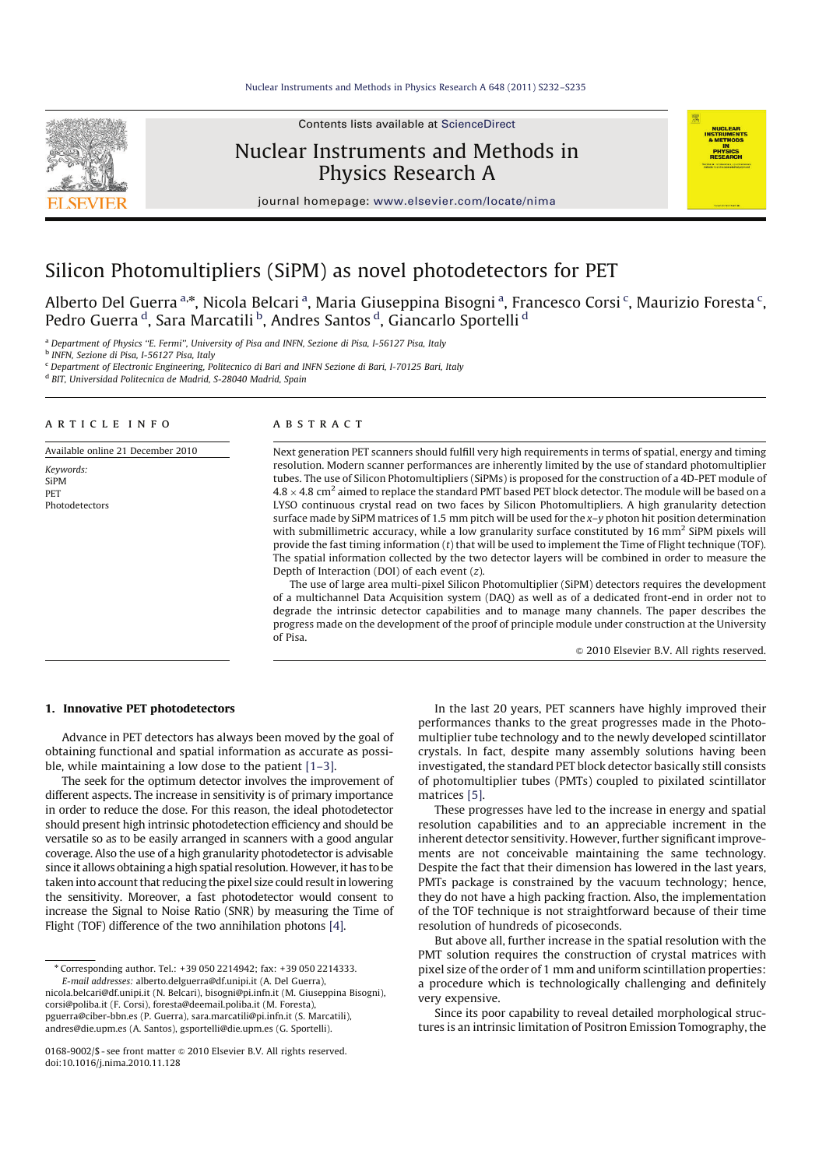

Contents lists available at ScienceDirect

# Nuclear Instruments and Methods in Physics Research A

journal homepage: www.elsevier.com/locate/nima

# Silicon Photomultipliers (SiPM) as novel photodetectors for PET

Alberto Del Guerra <sup>a,</sup>\*, Nicola Belcari <sup>a</sup>, Maria Giuseppina Bisogni <sup>a</sup>, Francesco Corsi <sup>c</sup>, Maurizio Foresta <sup>c</sup>, Pedro Guerra <sup>d</sup>, Sara Marcatili <sup>b</sup>, Andres Santos <sup>d</sup>, Giancarlo Sportelli <sup>d</sup>

<sup>a</sup> *Department of Physics ''E. Fermi'', University of Pisa and INFN, Sezione di Pisa, I-56127 Pisa, Italy*

b *INFN, Sezione di Pisa, I-56127 Pisa, Italy*

<sup>c</sup> *Department of Electronic Engineering, Politecnico di Bari and INFN Sezione di Bari, I-70125 Bari, Italy*

d *BIT, Universidad Politecnica de Madrid, S-28040 Madrid, Spain*

#### a r t i c l e i n f o

Photodetectors

Available online 21 December 2010 *Keywords:* SiPM PET

#### A B S T R A C T

Next generation PET scanners should fulfill very high requirements in terms of spatial, energy and timing resolution. Modern scanner performances are inherently limited by the use of standard photomultiplier tubes. The use of Silicon Photomultipliers (SiPMs) is proposed for the construction of a 4D-PET module of 4.8  $\times$  4.8 cm<sup>2</sup> aimed to replace the standard PMT based PET block detector. The module will be based on a LYSO continuous crystal read on two faces by Silicon Photomultipliers. A high granularity detection surface made by SiPM matrices of 1.5 mm pitch will be used for the *x*–*y* photon hit position determination with submillimetric accuracy, while a low granularity surface constituted by 16 mm<sup>2</sup> SiPM pixels will provide the fast timing information (*t*) that will be used to implement the Time of Flight technique (TOF). The spatial information collected by the two detector layers will be combined in order to measure the Depth of Interaction (DOI) of each event (*z*).

The use of large area multi-pixel Silicon Photomultiplier (SiPM) detectors requires the development of a multichannel Data Acquisition system (DAQ) as well as of a dedicated front-end in order not to degrade the intrinsic detector capabilities and to manage many channels. The paper describes the progress made on the development of the proof of principle module under construction at the University of Pisa.

 $\odot$  2010 Elsevier B.V. All rights reserved.

#### 1. Innovative PET photodetectors

Advance in PET detectors has always been moved by the goal of obtaining functional and spatial information as accurate as possible, while maintaining a low dose to the patient [1–3].

The seek for the optimum detector involves the improvement of different aspects. The increase in sensitivity is of primary importance in order to reduce the dose. For this reason, the ideal photodetector should present high intrinsic photodetection efficiency and should be versatile so as to be easily arranged in scanners with a good angular coverage. Also the use of a high granularity photodetector is advisable since it allows obtaining a high spatial resolution. However, it has to be taken into account that reducing the pixel size could result in lowering the sensitivity. Moreover, a fast photodetector would consent to increase the Signal to Noise Ratio (SNR) by measuring the Time of Flight (TOF) difference of the two annihilation photons [4].

In the last 20 years, PET scanners have highly improved their performances thanks to the great progresses made in the Photomultiplier tube technology and to the newly developed scintillator crystals. In fact, despite many assembly solutions having been investigated, the standard PET block detector basically still consists of photomultiplier tubes (PMTs) coupled to pixilated scintillator matrices [5].

These progresses have led to the increase in energy and spatial resolution capabilities and to an appreciable increment in the inherent detector sensitivity. However, further significant improvements are not conceivable maintaining the same technology. Despite the fact that their dimension has lowered in the last years, PMTs package is constrained by the vacuum technology; hence, they do not have a high packing fraction. Also, the implementation of the TOF technique is not straightforward because of their time resolution of hundreds of picoseconds.

But above all, further increase in the spatial resolution with the PMT solution requires the construction of crystal matrices with pixel size of the order of 1 mm and uniform scintillation properties: a procedure which is technologically challenging and definitely very expensive.

Since its poor capability to reveal detailed morphological structures is an intrinsic limitation of Positron Emission Tomography, the

n Corresponding author. Tel.: +39 050 2214942; fax: +39 050 2214333.

*E-mail addresses:* alberto.delguerra@df.unipi.it (A. Del Guerra), nicola.belcari@df.unipi.it (N. Belcari), bisogni@pi.infn.it (M. Giuseppina Bisogni), corsi@poliba.it (F. Corsi), foresta@deemail.poliba.it (M. Foresta), pguerra@ciber-bbn.es (P. Guerra), sara.marcatili@pi.infn.it (S. Marcatili), andres@die.upm.es (A. Santos), gsportelli@die.upm.es (G. Sportelli).

<sup>0168-9002/\$ -</sup> see front matter  $\circ$  2010 Elsevier B.V. All rights reserved. doi:10.1016/j.nima.2010.11.128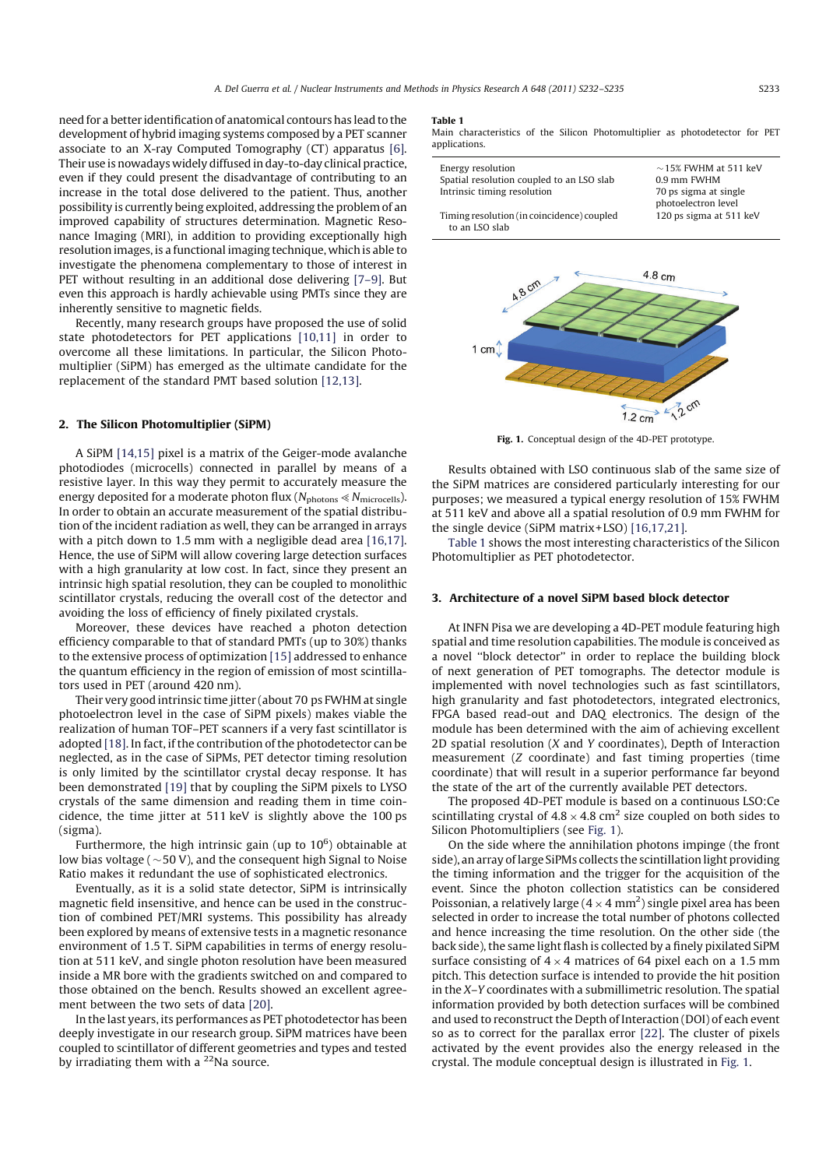need for a better identification of anatomical contours has lead to the development of hybrid imaging systems composed by a PET scanner associate to an X-ray Computed Tomography (CT) apparatus [6]. Their use is nowadays widely diffused in day-to-day clinical practice, even if they could present the disadvantage of contributing to an increase in the total dose delivered to the patient. Thus, another possibility is currently being exploited, addressing the problem of an improved capability of structures determination. Magnetic Resonance Imaging (MRI), in addition to providing exceptionally high resolution images, is a functional imaging technique, which is able to investigate the phenomena complementary to those of interest in PET without resulting in an additional dose delivering [7–9]. But even this approach is hardly achievable using PMTs since they are inherently sensitive to magnetic fields.

Recently, many research groups have proposed the use of solid state photodetectors for PET applications [10,11] in order to overcome all these limitations. In particular, the Silicon Photomultiplier (SiPM) has emerged as the ultimate candidate for the replacement of the standard PMT based solution [12,13].

## 2. The Silicon Photomultiplier (SiPM)

A SiPM [14,15] pixel is a matrix of the Geiger-mode avalanche photodiodes (microcells) connected in parallel by means of a resistive layer. In this way they permit to accurately measure the energy deposited for a moderate photon flux  $(N_{\text{photons}} \ll N_{\text{microcells}})$ . In order to obtain an accurate measurement of the spatial distribution of the incident radiation as well, they can be arranged in arrays with a pitch down to 1.5 mm with a negligible dead area [16,17]. Hence, the use of SiPM will allow covering large detection surfaces with a high granularity at low cost. In fact, since they present an intrinsic high spatial resolution, they can be coupled to monolithic scintillator crystals, reducing the overall cost of the detector and avoiding the loss of efficiency of finely pixilated crystals.

Moreover, these devices have reached a photon detection efficiency comparable to that of standard PMTs (up to 30%) thanks to the extensive process of optimization [15] addressed to enhance the quantum efficiency in the region of emission of most scintillators used in PET (around 420 nm).

Their very good intrinsic time jitter (about 70 ps FWHM at single photoelectron level in the case of SiPM pixels) makes viable the realization of human TOF–PET scanners if a very fast scintillator is adopted [18]. In fact, if the contribution of the photodetector can be neglected, as in the case of SiPMs, PET detector timing resolution is only limited by the scintillator crystal decay response. It has been demonstrated [19] that by coupling the SiPM pixels to LYSO crystals of the same dimension and reading them in time coincidence, the time jitter at 511 keV is slightly above the 100 ps (sigma).

Furthermore, the high intrinsic gain (up to  $10^6$ ) obtainable at low bias voltage ( $\sim$  50 V), and the consequent high Signal to Noise Ratio makes it redundant the use of sophisticated electronics.

Eventually, as it is a solid state detector, SiPM is intrinsically magnetic field insensitive, and hence can be used in the construction of combined PET/MRI systems. This possibility has already been explored by means of extensive tests in a magnetic resonance environment of 1.5 T. SiPM capabilities in terms of energy resolution at 511 keV, and single photon resolution have been measured inside a MR bore with the gradients switched on and compared to those obtained on the bench. Results showed an excellent agreement between the two sets of data [20].

In the last years, its performances as PET photodetector has been deeply investigate in our research group. SiPM matrices have been coupled to scintillator of different geometries and types and tested by irradiating them with a  $22$ Na source.

#### Table 1

Main characteristics of the Silicon Photomultiplier as photodetector for PET applications.

| Energy resolution<br>Spatial resolution coupled to an LSO slab | $\sim$ 15% FWHM at 511 keV<br>0.9 mm FWHM |
|----------------------------------------------------------------|-------------------------------------------|
| Intrinsic timing resolution                                    | 70 ps sigma at single                     |
|                                                                | photoelectron level                       |
| Timing resolution (in coincidence) coupled<br>to an LSO slab   | 120 ps sigma at 511 keV                   |



Fig. 1. Conceptual design of the 4D-PET prototype.

Results obtained with LSO continuous slab of the same size of the SiPM matrices are considered particularly interesting for our purposes; we measured a typical energy resolution of 15% FWHM at 511 keV and above all a spatial resolution of 0.9 mm FWHM for the single device (SiPM matrix+LSO) [16,17,21].

Table 1 shows the most interesting characteristics of the Silicon Photomultiplier as PET photodetector.

#### 3. Architecture of a novel SiPM based block detector

At INFN Pisa we are developing a 4D-PET module featuring high spatial and time resolution capabilities. The module is conceived as a novel ''block detector'' in order to replace the building block of next generation of PET tomographs. The detector module is implemented with novel technologies such as fast scintillators, high granularity and fast photodetectors, integrated electronics, FPGA based read-out and DAQ electronics. The design of the module has been determined with the aim of achieving excellent 2D spatial resolution (*X* and *Y* coordinates), Depth of Interaction measurement (*Z* coordinate) and fast timing properties (time coordinate) that will result in a superior performance far beyond the state of the art of the currently available PET detectors.

The proposed 4D-PET module is based on a continuous LSO:Ce scintillating crystal of  $4.8 \times 4.8$  cm<sup>2</sup> size coupled on both sides to Silicon Photomultipliers (see Fig. 1).

On the side where the annihilation photons impinge (the front side), an array of large SiPMs collects the scintillation light providing the timing information and the trigger for the acquisition of the event. Since the photon collection statistics can be considered Poissonian, a relatively large ( $4 \times 4$  mm<sup>2</sup>) single pixel area has been selected in order to increase the total number of photons collected and hence increasing the time resolution. On the other side (the back side), the same light flash is collected by a finely pixilated SiPM surface consisting of  $4 \times 4$  matrices of 64 pixel each on a 1.5 mm pitch. This detection surface is intended to provide the hit position in the *X*–*Y* coordinates with a submillimetric resolution. The spatial information provided by both detection surfaces will be combined and used to reconstruct the Depth of Interaction (DOI) of each event so as to correct for the parallax error [22]. The cluster of pixels activated by the event provides also the energy released in the crystal. The module conceptual design is illustrated in Fig. 1.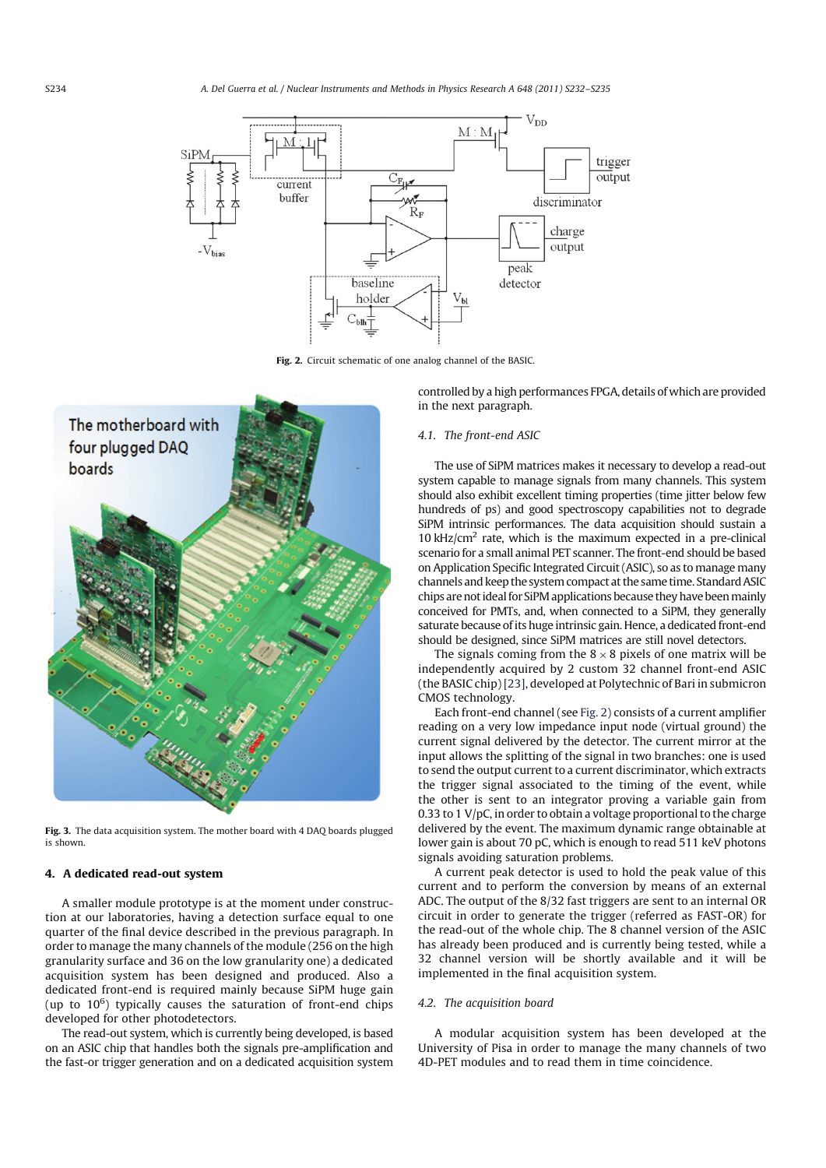

Fig. 2. Circuit schematic of one analog channel of the BASIC.



Fig. 3. The data acquisition system. The mother board with 4 DAO boards plugged is shown.

#### 4. A dedicated read-out system

A smaller module prototype is at the moment under construction at our laboratories, having a detection surface equal to one quarter of the final device described in the previous paragraph. In order to manage the many channels of the module (256 on the high granularity surface and 36 on the low granularity one) a dedicated acquisition system has been designed and produced. Also a dedicated front-end is required mainly because SiPM huge gain (up to  $10^6$ ) typically causes the saturation of front-end chips developed for other photodetectors.

The read-out system, which is currently being developed, is based on an ASIC chip that handles both the signals pre-amplification and the fast-or trigger generation and on a dedicated acquisition system controlled by a high performances FPGA, details of which are provided in the next paragraph.

### *4.1. The front-end ASIC*

The use of SiPM matrices makes it necessary to develop a read-out system capable to manage signals from many channels. This system should also exhibit excellent timing properties (time jitter below few hundreds of ps) and good spectroscopy capabilities not to degrade SiPM intrinsic performances. The data acquisition should sustain a 10 kHz/cm<sup>2</sup> rate, which is the maximum expected in a pre-clinical scenario for a small animal PET scanner. The front-end should be based on Application Specific Integrated Circuit (ASIC), so as to manage many channels and keep the system compact at the same time. Standard ASIC chips are not ideal for SiPM applications because they have beenmainly conceived for PMTs, and, when connected to a SiPM, they generally saturate because of its huge intrinsic gain. Hence, a dedicated front-end should be designed, since SiPM matrices are still novel detectors.

The signals coming from the  $8 \times 8$  pixels of one matrix will be independently acquired by 2 custom 32 channel front-end ASIC (the BASIC chip)[23], developed at Polytechnic of Bari in submicron CMOS technology.

Each front-end channel (see Fig. 2) consists of a current amplifier reading on a very low impedance input node (virtual ground) the current signal delivered by the detector. The current mirror at the input allows the splitting of the signal in two branches: one is used to send the output current to a current discriminator, which extracts the trigger signal associated to the timing of the event, while the other is sent to an integrator proving a variable gain from 0.33 to 1 V/pC, in order to obtain a voltage proportional to the charge delivered by the event. The maximum dynamic range obtainable at lower gain is about 70 pC, which is enough to read 511 keV photons signals avoiding saturation problems.

A current peak detector is used to hold the peak value of this current and to perform the conversion by means of an external ADC. The output of the 8/32 fast triggers are sent to an internal OR circuit in order to generate the trigger (referred as FAST-OR) for the read-out of the whole chip. The 8 channel version of the ASIC has already been produced and is currently being tested, while a 32 channel version will be shortly available and it will be implemented in the final acquisition system.

#### *4.2. The acquisition board*

A modular acquisition system has been developed at the University of Pisa in order to manage the many channels of two 4D-PET modules and to read them in time coincidence.